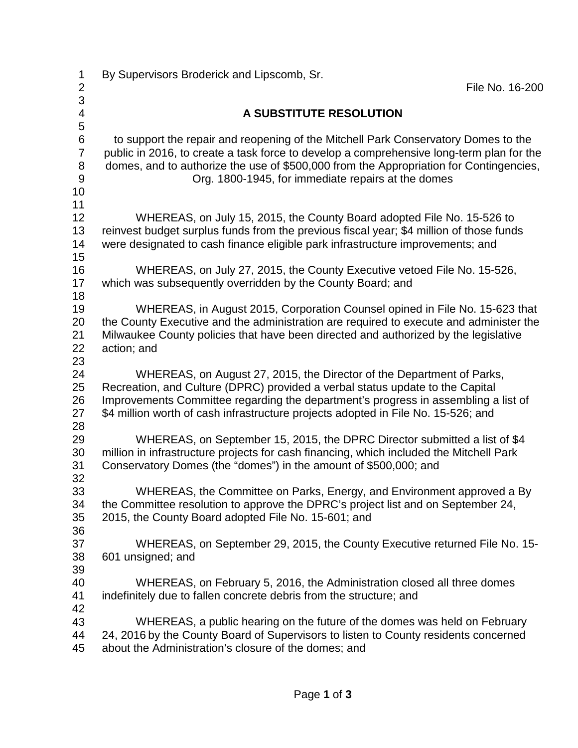| 1<br>$\overline{2}$                   | By Supervisors Broderick and Lipscomb, Sr.                                                                                                                                                                                                                                                                                        | File No. 16-200 |  |
|---------------------------------------|-----------------------------------------------------------------------------------------------------------------------------------------------------------------------------------------------------------------------------------------------------------------------------------------------------------------------------------|-----------------|--|
| 3                                     |                                                                                                                                                                                                                                                                                                                                   |                 |  |
| 4<br>5                                | A SUBSTITUTE RESOLUTION                                                                                                                                                                                                                                                                                                           |                 |  |
| 6<br>$\overline{7}$<br>8<br>$9$<br>10 | to support the repair and reopening of the Mitchell Park Conservatory Domes to the<br>public in 2016, to create a task force to develop a comprehensive long-term plan for the<br>domes, and to authorize the use of \$500,000 from the Appropriation for Contingencies,<br>Org. 1800-1945, for immediate repairs at the domes    |                 |  |
| 11<br>12                              | WHEREAS, on July 15, 2015, the County Board adopted File No. 15-526 to                                                                                                                                                                                                                                                            |                 |  |
| 13<br>14<br>15                        | reinvest budget surplus funds from the previous fiscal year; \$4 million of those funds<br>were designated to cash finance eligible park infrastructure improvements; and                                                                                                                                                         |                 |  |
| 16<br>17<br>18                        | WHEREAS, on July 27, 2015, the County Executive vetoed File No. 15-526,<br>which was subsequently overridden by the County Board; and                                                                                                                                                                                             |                 |  |
| 19<br>20<br>21<br>22<br>23            | WHEREAS, in August 2015, Corporation Counsel opined in File No. 15-623 that<br>the County Executive and the administration are required to execute and administer the<br>Milwaukee County policies that have been directed and authorized by the legislative<br>action; and                                                       |                 |  |
| 24<br>25<br>26<br>27                  | WHEREAS, on August 27, 2015, the Director of the Department of Parks,<br>Recreation, and Culture (DPRC) provided a verbal status update to the Capital<br>Improvements Committee regarding the department's progress in assembling a list of<br>\$4 million worth of cash infrastructure projects adopted in File No. 15-526; and |                 |  |
| 28<br>29<br>30<br>31<br>32            | WHEREAS, on September 15, 2015, the DPRC Director submitted a list of \$4<br>million in infrastructure projects for cash financing, which included the Mitchell Park<br>Conservatory Domes (the "domes") in the amount of \$500,000; and                                                                                          |                 |  |
| 33<br>34<br>35<br>36                  | WHEREAS, the Committee on Parks, Energy, and Environment approved a By<br>the Committee resolution to approve the DPRC's project list and on September 24,<br>2015, the County Board adopted File No. 15-601; and                                                                                                                 |                 |  |
| 37<br>38<br>39                        | WHEREAS, on September 29, 2015, the County Executive returned File No. 15-<br>601 unsigned; and                                                                                                                                                                                                                                   |                 |  |
| 40<br>41<br>42                        | WHEREAS, on February 5, 2016, the Administration closed all three domes<br>indefinitely due to fallen concrete debris from the structure; and                                                                                                                                                                                     |                 |  |
| 43<br>44<br>45                        | WHEREAS, a public hearing on the future of the domes was held on February<br>24, 2016 by the County Board of Supervisors to listen to County residents concerned<br>about the Administration's closure of the domes; and                                                                                                          |                 |  |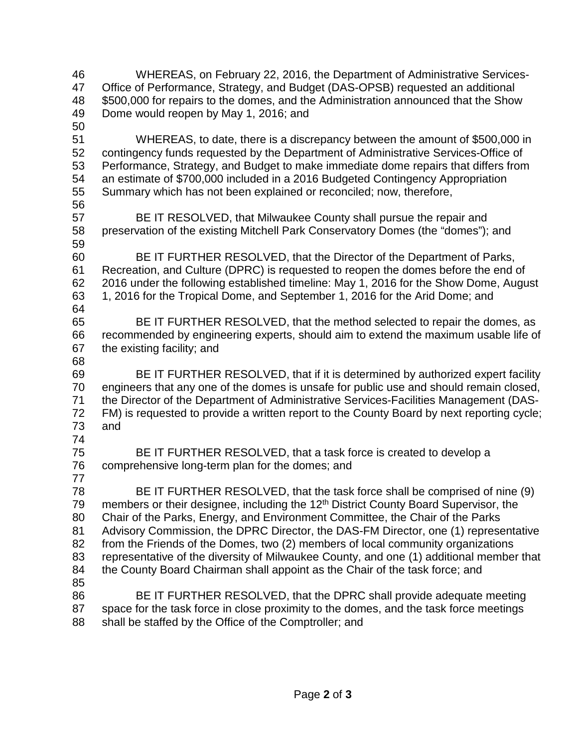WHEREAS, on February 22, 2016, the Department of Administrative Services- Office of Performance, Strategy, and Budget (DAS-OPSB) requested an additional \$500,000 for repairs to the domes, and the Administration announced that the Show Dome would reopen by May 1, 2016; and WHEREAS, to date, there is a discrepancy between the amount of \$500,000 in contingency funds requested by the Department of Administrative Services-Office of Performance, Strategy, and Budget to make immediate dome repairs that differs from an estimate of \$700,000 included in a 2016 Budgeted Contingency Appropriation Summary which has not been explained or reconciled; now, therefore, BE IT RESOLVED, that Milwaukee County shall pursue the repair and preservation of the existing Mitchell Park Conservatory Domes (the "domes"); and BE IT FURTHER RESOLVED, that the Director of the Department of Parks, Recreation, and Culture (DPRC) is requested to reopen the domes before the end of 2016 under the following established timeline: May 1, 2016 for the Show Dome, August 1, 2016 for the Tropical Dome, and September 1, 2016 for the Arid Dome; and BE IT FURTHER RESOLVED, that the method selected to repair the domes, as recommended by engineering experts, should aim to extend the maximum usable life of the existing facility; and BE IT FURTHER RESOLVED, that if it is determined by authorized expert facility engineers that any one of the domes is unsafe for public use and should remain closed, the Director of the Department of Administrative Services-Facilities Management (DAS- FM) is requested to provide a written report to the County Board by next reporting cycle; and BE IT FURTHER RESOLVED, that a task force is created to develop a comprehensive long-term plan for the domes; and BE IT FURTHER RESOLVED, that the task force shall be comprised of nine (9) 79 members or their designee, including the  $12<sup>th</sup>$  District County Board Supervisor, the Chair of the Parks, Energy, and Environment Committee, the Chair of the Parks Advisory Commission, the DPRC Director, the DAS-FM Director, one (1) representative from the Friends of the Domes, two (2) members of local community organizations representative of the diversity of Milwaukee County, and one (1) additional member that the County Board Chairman shall appoint as the Chair of the task force; and BE IT FURTHER RESOLVED, that the DPRC shall provide adequate meeting space for the task force in close proximity to the domes, and the task force meetings shall be staffed by the Office of the Comptroller; and